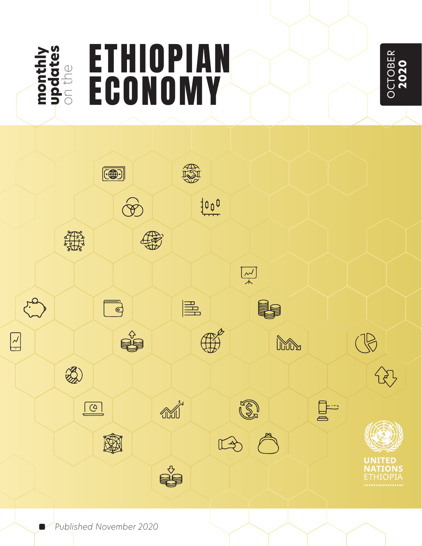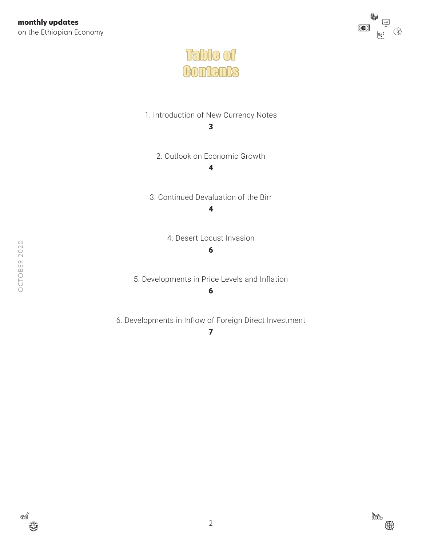



[1. Introduction of New Currency Notes](#page-2-0)

3

[2. Outlook on Economic Growth](#page-3-0)

[4](#page-3-0)

[3. Continued Devaluation of the Birr](#page-3-0) 4

[4. Desert Locust Invasion](#page-5-0)

#### 6

[5. Developments in Price Levels and Inflation](#page-5-0)

#### 6

[6. Developments in Inflow of Foreign Direct Investment](#page-6-0)

7



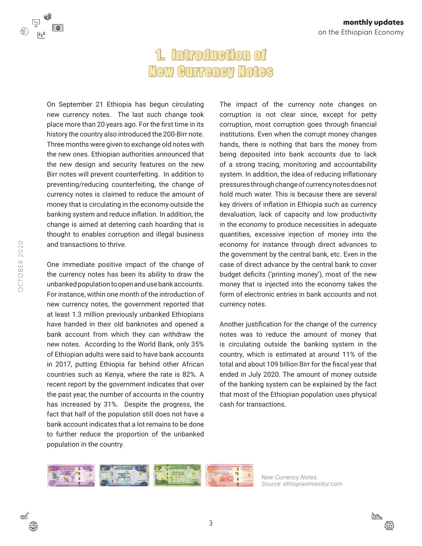# 1. Introduction of New Currency Notes

<span id="page-2-0"></span>On September 21 Ethiopia has begun circulating new currency notes. The last such change took place more than 20 years ago. For the first time in its history the country also introduced the 200-Birr note. Three months were given to exchange old notes with the new ones. Ethiopian authorities announced that the new design and security features on the new Birr notes will prevent counterfeiting. In addition to preventing/reducing counterfeiting, the change of currency notes is claimed to reduce the amount of money that is circulating in the economy outside the banking system and reduce inflation. In addition, the change is aimed at deterring cash hoarding that is thought to enables corruption and illegal business and transactions to thrive.

One immediate positive impact of the change of the currency notes has been its ability to draw the unbanked population to open and use bank accounts. For instance, within one month of the introduction of new currency notes, the government reported that at least 1.3 million previously unbanked Ethiopians have handed in their old banknotes and opened a bank account from which they can withdraw the new notes. According to the World Bank, only 35% of Ethiopian adults were said to have bank accounts in 2017, putting Ethiopia far behind other African countries such as Kenya, where the rate is 82%. A recent report by the government indicates that over the past year, the number of accounts in the country has increased by 31%. Despite the progress, the fact that half of the population still does not have a bank account indicates that a lot remains to be done to further reduce the proportion of the unbanked population in the country.

The impact of the currency note changes on corruption is not clear since, except for petty corruption, most corruption goes through financial institutions. Even when the corrupt money changes hands, there is nothing that bars the money from being deposited into bank accounts due to lack of a strong tracing, monitoring and accountability system. In addition, the idea of reducing inflationary pressures through change of currency notes does not hold much water. This is because there are several key drivers of inflation in Ethiopia such as currency devaluation, lack of capacity and low productivity in the economy to produce necessities in adequate quantities, excessive injection of money into the economy for instance through direct advances to the government by the central bank, etc. Even in the case of direct advance by the central bank to cover budget deficits ('printing money'), most of the new money that is injected into the economy takes the form of electronic entries in bank accounts and not currency notes.

Another justification for the change of the currency notes was to reduce the amount of money that is circulating outside the banking system in the country, which is estimated at around 11% of the total and about 109 billion Birr for the fiscal year that ended in July 2020. The amount of money outside of the banking system can be explained by the fact that most of the Ethiopian population uses physical cash for transactions.



*New Currency Notes. Source: [ethiopianmonitor.com](https://ethiopianmonitor.com/2020/09/14/ethiopia-changes-currency-notes-unvails-new-200-birr/)*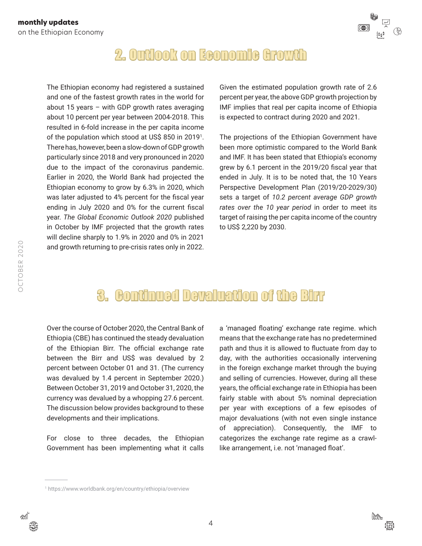

### 2. Outlook on Economic Growth

<span id="page-3-0"></span>The Ethiopian economy had registered a sustained and one of the fastest growth rates in the world for about 15 years – with GDP growth rates averaging about 10 percent per year between 2004-2018. This resulted in 6-fold increase in the per capita income of the population which stood at US\$ 850 in 20191 . There has, however, been a slow-down of GDP growth particularly since 2018 and very pronounced in 2020 due to the impact of the coronavirus pandemic. Earlier in 2020, the World Bank had projected the Ethiopian economy to grow by 6.3% in 2020, which was later adjusted to 4% percent for the fiscal year ending in July 2020 and 0% for the current fiscal year. *The Global Economic Outlook 2020* published in October by IMF projected that the growth rates will decline sharply to 1.9% in 2020 and 0% in 2021 and growth returning to pre-crisis rates only in 2022.

Given the estimated population growth rate of 2.6 percent per year, the above GDP growth projection by IMF implies that real per capita income of Ethiopia is expected to contract during 2020 and 2021.

The projections of the Ethiopian Government have been more optimistic compared to the World Bank and IMF. It has been stated that Ethiopia's economy grew by 6.1 percent in the 2019/20 fiscal year that ended in July. It is to be noted that, the 10 Years Perspective Development Plan (2019/20-2029/30) sets a target of *10.2 percent average GDP growth rates over the 10 year period* in order to meet its target of raising the per capita income of the country to US\$ 2,220 by 2030.

## 3. Continued Devaluation of the Birr

Over the course of October 2020, the Central Bank of Ethiopia (CBE) has continued the steady devaluation of the Ethiopian Birr. The official exchange rate between the Birr and US\$ was devalued by 2 percent between October 01 and 31. (The currency was devalued by 1.4 percent in September 2020.) Between October 31, 2019 and October 31, 2020, the currency was devalued by a whopping 27.6 percent. The discussion below provides background to these developments and their implications.

For close to three decades, the Ethiopian Government has been implementing what it calls a 'managed floating' exchange rate regime. which means that the exchange rate has no predetermined path and thus it is allowed to fluctuate from day to day, with the authorities occasionally intervening in the foreign exchange market through the buying and selling of currencies. However, during all these years, the official exchange rate in Ethiopia has been fairly stable with about 5% nominal depreciation per year with exceptions of a few episodes of major devaluations (with not even single instance of appreciation). Consequently, the IMF to categorizes the exchange rate regime as a crawllike arrangement, i.e. not 'managed float'.



<sup>1</sup> <https://www.worldbank.org/en/country/ethiopia/overview>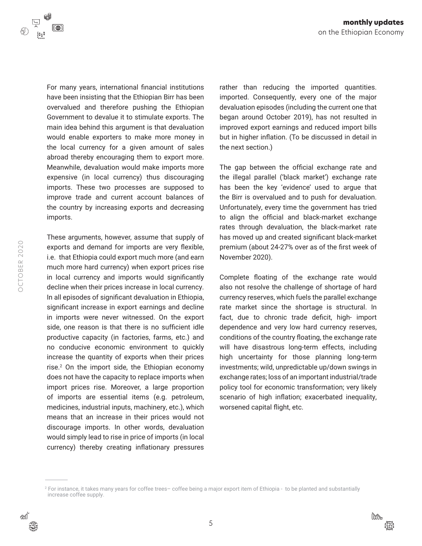

For many years, international financial institutions have been insisting that the Ethiopian Birr has been overvalued and therefore pushing the Ethiopian Government to devalue it to stimulate exports. The main idea behind this argument is that devaluation would enable exporters to make more money in the local currency for a given amount of sales abroad thereby encouraging them to export more. Meanwhile, devaluation would make imports more expensive (in local currency) thus discouraging imports. These two processes are supposed to improve trade and current account balances of the country by increasing exports and decreasing imports.

These arguments, however, assume that supply of exports and demand for imports are very flexible, i.e. that Ethiopia could export much more (and earn much more hard currency) when export prices rise in local currency and imports would significantly decline when their prices increase in local currency. In all episodes of significant devaluation in Ethiopia, significant increase in export earnings and decline in imports were never witnessed. On the export side, one reason is that there is no sufficient idle productive capacity (in factories, farms, etc.) and no conducive economic environment to quickly increase the quantity of exports when their prices rise.<sup>2</sup> On the import side, the Ethiopian economy does not have the capacity to replace imports when import prices rise. Moreover, a large proportion of imports are essential items (e.g. petroleum, medicines, industrial inputs, machinery, etc.), which means that an increase in their prices would not discourage imports. In other words, devaluation would simply lead to rise in price of imports (in local currency) thereby creating inflationary pressures

rather than reducing the imported quantities. imported. Consequently, every one of the major devaluation episodes (including the current one that began around October 2019), has not resulted in improved export earnings and reduced import bills but in higher inflation. (To be discussed in detail in the next section.)

The gap between the official exchange rate and the illegal parallel ('black market') exchange rate has been the key 'evidence' used to argue that the Birr is overvalued and to push for devaluation. Unfortunately, every time the government has tried to align the official and black-market exchange rates through devaluation, the black-market rate has moved up and created significant black-market premium (about 24-27% over as of the first week of November 2020).

Complete floating of the exchange rate would also not resolve the challenge of shortage of hard currency reserves, which fuels the parallel exchange rate market since the shortage is structural. In fact, due to chronic trade deficit, high- import dependence and very low hard currency reserves, conditions of the country floating, the exchange rate will have disastrous long-term effects, including high uncertainty for those planning long-term investments; wild, unpredictable up/down swings in exchange rates; loss of an important industrial/trade policy tool for economic transformation; very likely scenario of high inflation; exacerbated inequality, worsened capital flight, etc.



<sup>2</sup> For instance, it takes many years for coffee trees– coffee being a major export item of Ethiopia - to be planted and substantially increase coffee supply.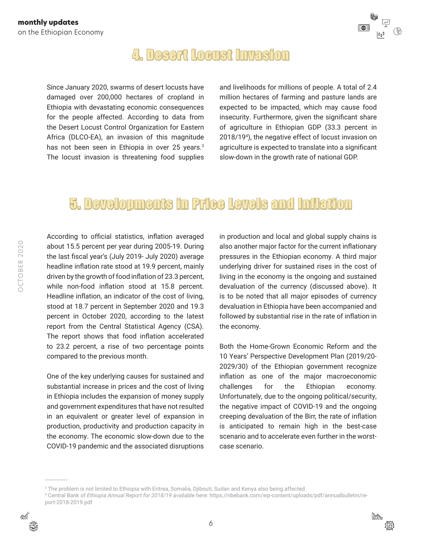

#### 4. Desert Locust Invasion

<span id="page-5-0"></span>Since January 2020, swarms of desert locusts have damaged over 200,000 hectares of cropland in Ethiopia with devastating economic consequences for the people affected. According to data from the Desert Locust Control Organization for Eastern Africa (DLCO-EA), an invasion of this magnitude has not been seen in Ethiopia in over 25 years.<sup>3</sup> The locust invasion is threatening food supplies and livelihoods for millions of people. A total of 2.4 million hectares of farming and pasture lands are expected to be impacted, which may cause food insecurity. Furthermore, given the significant share of agriculture in Ethiopian GDP (33.3 percent in 2018/194 ), the negative effect of locust invasion on agriculture is expected to translate into a significant slow-down in the growth rate of national GDP.

#### 5. Developments in Price Levels and Inflation

According to official statistics, inflation averaged about 15.5 percent per year during 2005-19. During the last fiscal year's (July 2019- July 2020) average headline inflation rate stood at 19.9 percent, mainly driven by the growth of food inflation of 23.3 percent, while non-food inflation stood at 15.8 percent. Headline inflation, an indicator of the cost of living, stood at 18.7 percent in September 2020 and 19.3 percent in October 2020, according to the latest report from the Central Statistical Agency (CSA). The report shows that food inflation accelerated to 23.2 percent, a rise of two percentage points compared to the previous month.

One of the key underlying causes for sustained and substantial increase in prices and the cost of living in Ethiopia includes the expansion of money supply and government expenditures that have not resulted in an equivalent or greater level of expansion in production, productivity and production capacity in the economy. The economic slow-down due to the COVID-19 pandemic and the associated disruptions in production and local and global supply chains is also another major factor for the current inflationary pressures in the Ethiopian economy. A third major underlying driver for sustained rises in the cost of living in the economy is the ongoing and sustained devaluation of the currency (discussed above). It is to be noted that all major episodes of currency devaluation in Ethiopia have been accompanied and followed by substantial rise in the rate of inflation in the economy.

Both the Home-Grown Economic Reform and the 10 Years' Perspective Development Plan (2019/20- 2029/30) of the Ethiopian government recognize inflation as one of the major macroeconomic challenges for the Ethiopian economy. Unfortunately, due to the ongoing political/security, the negative impact of COVID-19 and the ongoing creeping devaluation of the Birr, the rate of inflation is anticipated to remain high in the best-case scenario and to accelerate even further in the worstcase scenario.



<sup>3</sup> The problem is not limited to Ethiopia with Eritrea, Somalia, Djibouti, Sudan and Kenya also being affected.

<sup>4</sup> Central Bank of *Ethiopia Annual Report for 2018/19* available here: [https://nbebank.com/wp-content/uploads/pdf/annualbulletin/re](https://nbebank.com/wp-content/uploads/pdf/annualbulletin/report-2018-2019.pdf)[port-2018-2019.pdf](https://nbebank.com/wp-content/uploads/pdf/annualbulletin/report-2018-2019.pdf)